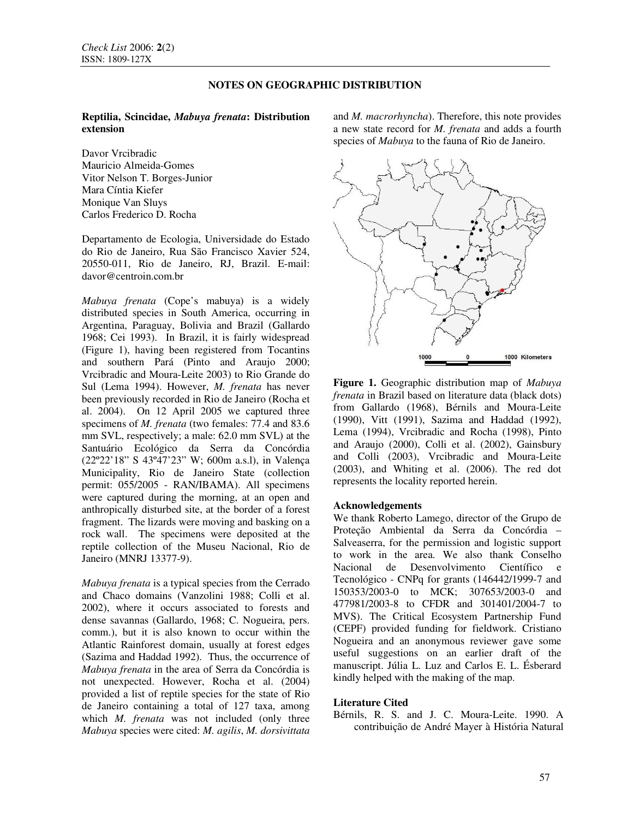# **NOTES ON GEOGRAPHIC DISTRIBUTION**

# **Reptilia, Scincidae,** *Mabuya frenata***: Distribution extension**

Davor Vrcibradic Mauricio Almeida-Gomes Vitor Nelson T. Borges-Junior Mara Cíntia Kiefer Monique Van Sluys Carlos Frederico D. Rocha

Departamento de Ecologia, Universidade do Estado do Rio de Janeiro, Rua São Francisco Xavier 524, 20550-011, Rio de Janeiro, RJ, Brazil. E-mail: davor@centroin.com.br

*Mabuya frenata* (Cope's mabuya) is a widely distributed species in South America, occurring in Argentina, Paraguay, Bolivia and Brazil (Gallardo 1968; Cei 1993). In Brazil, it is fairly widespread (Figure 1), having been registered from Tocantins and southern Pará (Pinto and Araujo 2000; Vrcibradic and Moura-Leite 2003) to Rio Grande do Sul (Lema 1994). However, *M. frenata* has never been previously recorded in Rio de Janeiro (Rocha et al. 2004). On 12 April 2005 we captured three specimens of *M. frenata* (two females: 77.4 and 83.6 mm SVL, respectively; a male: 62.0 mm SVL) at the Santuário Ecológico da Serra da Concórdia (22º22'18" S 43º47'23" W; 600m a.s.l), in Valença Municipality, Rio de Janeiro State (collection permit: 055/2005 - RAN/IBAMA). All specimens were captured during the morning, at an open and anthropically disturbed site, at the border of a forest fragment. The lizards were moving and basking on a rock wall. The specimens were deposited at the reptile collection of the Museu Nacional, Rio de Janeiro (MNRJ 13377-9).

*Mabuya frenata* is a typical species from the Cerrado and Chaco domains (Vanzolini 1988; Colli et al. 2002), where it occurs associated to forests and dense savannas (Gallardo, 1968; C. Nogueira, pers. comm.), but it is also known to occur within the Atlantic Rainforest domain, usually at forest edges (Sazima and Haddad 1992). Thus, the occurrence of *Mabuya frenata* in the area of Serra da Concórdia is not unexpected. However, Rocha et al. (2004) provided a list of reptile species for the state of Rio de Janeiro containing a total of 127 taxa, among which *M. frenata* was not included (only three *Mabuya* species were cited: *M. agilis*, *M. dorsivittata* and *M. macrorhyncha*). Therefore, this note provides a new state record for *M. frenata* and adds a fourth species of *Mabuya* to the fauna of Rio de Janeiro.



**Figure 1.** Geographic distribution map of *Mabuya frenata* in Brazil based on literature data (black dots) from Gallardo (1968), Bérnils and Moura-Leite (1990), Vitt (1991), Sazima and Haddad (1992), Lema (1994), Vrcibradic and Rocha (1998), Pinto and Araujo (2000), Colli et al. (2002), Gainsbury and Colli (2003), Vrcibradic and Moura-Leite (2003), and Whiting et al. (2006). The red dot represents the locality reported herein.

#### **Acknowledgements**

We thank Roberto Lamego, director of the Grupo de Proteção Ambiental da Serra da Concórdia – Salveaserra, for the permission and logistic support to work in the area. We also thank Conselho Nacional de Desenvolvimento Científico e Tecnológico - CNPq for grants (146442/1999-7 and 150353/2003-0 to MCK; 307653/2003-0 and 477981/2003-8 to CFDR and 301401/2004-7 to MVS). The Critical Ecosystem Partnership Fund (CEPF) provided funding for fieldwork. Cristiano Nogueira and an anonymous reviewer gave some useful suggestions on an earlier draft of the manuscript. Júlia L. Luz and Carlos E. L. Ésberard kindly helped with the making of the map.

# **Literature Cited**

Bérnils, R. S. and J. C. Moura-Leite. 1990. A contribuição de André Mayer à História Natural